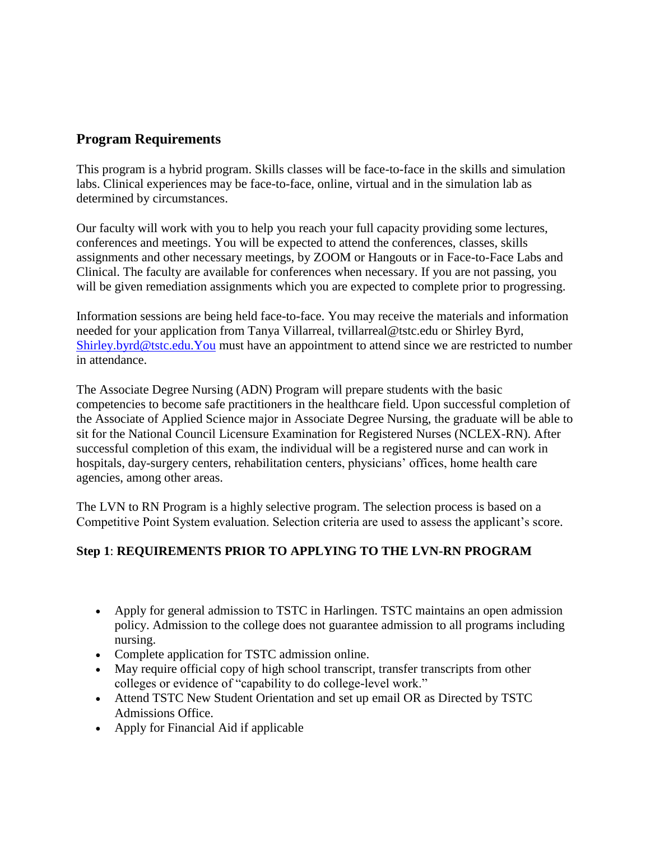# **Program Requirements**

This program is a hybrid program. Skills classes will be face-to-face in the skills and simulation labs. Clinical experiences may be face-to-face, online, virtual and in the simulation lab as determined by circumstances.

Our faculty will work with you to help you reach your full capacity providing some lectures, conferences and meetings. You will be expected to attend the conferences, classes, skills assignments and other necessary meetings, by ZOOM or Hangouts or in Face-to-Face Labs and Clinical. The faculty are available for conferences when necessary. If you are not passing, you will be given remediation assignments which you are expected to complete prior to progressing.

Information sessions are being held face-to-face. You may receive the materials and information needed for your application from Tanya Villarreal, tvillarreal@tstc.edu or Shirley Byrd, [Shirley.byrd@tstc.edu.You](mailto:Shirley.byrd@tstc.edu.You) must have an appointment to attend since we are restricted to number in attendance.

The Associate Degree Nursing (ADN) Program will prepare students with the basic competencies to become safe practitioners in the healthcare field. Upon successful completion of the Associate of Applied Science major in Associate Degree Nursing, the graduate will be able to sit for the National Council Licensure Examination for Registered Nurses (NCLEX-RN). After successful completion of this exam, the individual will be a registered nurse and can work in hospitals, day-surgery centers, rehabilitation centers, physicians' offices, home health care agencies, among other areas.

The LVN to RN Program is a highly selective program. The selection process is based on a Competitive Point System evaluation. Selection criteria are used to assess the applicant's score.

## **Step 1**: **REQUIREMENTS PRIOR TO APPLYING TO THE LVN-RN PROGRAM**

- Apply for general admission to TSTC in Harlingen. TSTC maintains an open admission policy. Admission to the college does not guarantee admission to all programs including nursing.
- Complete application for TSTC admission online.
- May require official copy of high school transcript, transfer transcripts from other colleges or evidence of "capability to do college-level work."
- Attend TSTC New Student Orientation and set up email OR as Directed by TSTC Admissions Office.
- Apply for Financial Aid if applicable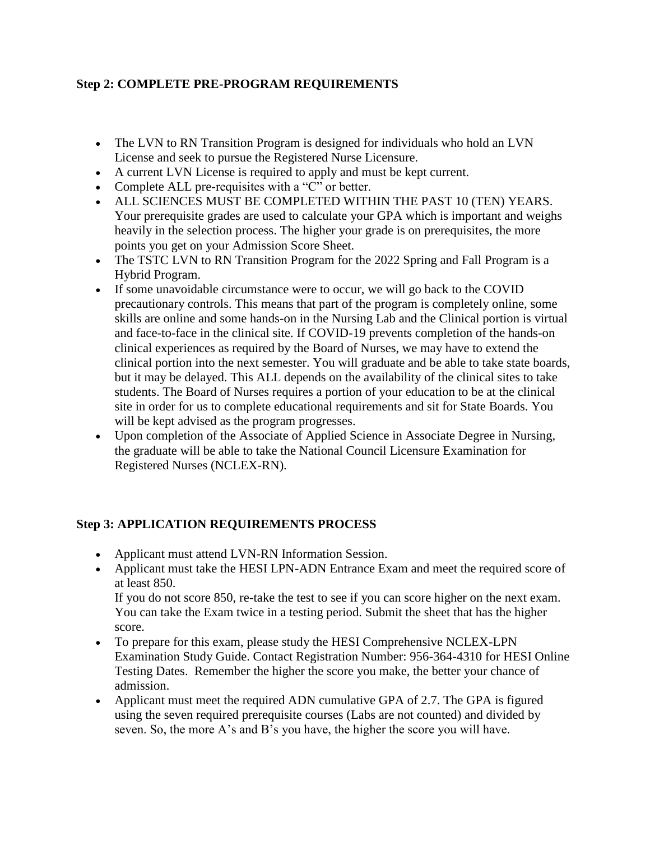## **Step 2: COMPLETE PRE-PROGRAM REQUIREMENTS**

- The LVN to RN Transition Program is designed for individuals who hold an LVN License and seek to pursue the Registered Nurse Licensure.
- A current LVN License is required to apply and must be kept current.
- Complete ALL pre-requisites with a "C" or better.
- ALL SCIENCES MUST BE COMPLETED WITHIN THE PAST 10 (TEN) YEARS. Your prerequisite grades are used to calculate your GPA which is important and weighs heavily in the selection process. The higher your grade is on prerequisites, the more points you get on your Admission Score Sheet.
- The TSTC LVN to RN Transition Program for the 2022 Spring and Fall Program is a Hybrid Program.
- If some unavoidable circumstance were to occur, we will go back to the COVID precautionary controls. This means that part of the program is completely online, some skills are online and some hands-on in the Nursing Lab and the Clinical portion is virtual and face-to-face in the clinical site. If COVID-19 prevents completion of the hands-on clinical experiences as required by the Board of Nurses, we may have to extend the clinical portion into the next semester. You will graduate and be able to take state boards, but it may be delayed. This ALL depends on the availability of the clinical sites to take students. The Board of Nurses requires a portion of your education to be at the clinical site in order for us to complete educational requirements and sit for State Boards. You will be kept advised as the program progresses.
- Upon completion of the Associate of Applied Science in Associate Degree in Nursing, the graduate will be able to take the National Council Licensure Examination for Registered Nurses (NCLEX-RN).

### **Step 3: APPLICATION REQUIREMENTS PROCESS**

- Applicant must attend LVN-RN Information Session.
- Applicant must take the HESI LPN-ADN Entrance Exam and meet the required score of at least 850.

If you do not score 850, re-take the test to see if you can score higher on the next exam. You can take the Exam twice in a testing period. Submit the sheet that has the higher score.

- To prepare for this exam, please study the HESI Comprehensive NCLEX-LPN Examination Study Guide. Contact Registration Number: 956-364-4310 for HESI Online Testing Dates. Remember the higher the score you make, the better your chance of admission.
- Applicant must meet the required ADN cumulative GPA of 2.7. The GPA is figured using the seven required prerequisite courses (Labs are not counted) and divided by seven. So, the more A's and B's you have, the higher the score you will have.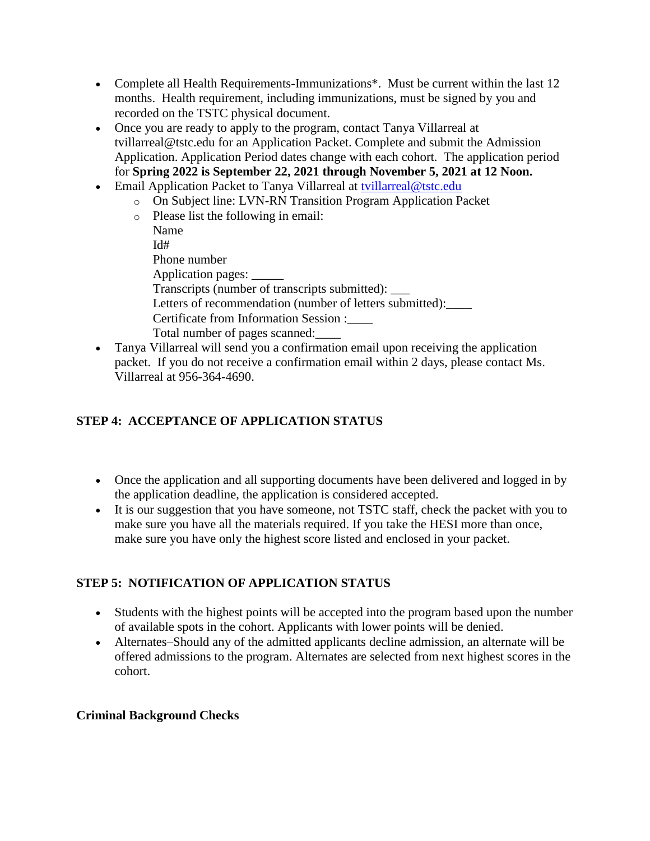- Complete all Health Requirements-Immunizations<sup>\*</sup>. Must be current within the last 12 months. Health requirement, including immunizations, must be signed by you and recorded on the TSTC physical document.
- Once you are ready to apply to the program, contact Tanya Villarreal at tvillarreal@tstc.edu for an Application Packet. Complete and submit the Admission Application. Application Period dates change with each cohort. The application period for **Spring 2022 is September 22, 2021 through November 5, 2021 at 12 Noon.**
- Email Application Packet to Tanya Villarreal at [tvillarreal@tstc.edu](mailto:tvillarreal@tstc.edu)
	- o On Subject line: LVN-RN Transition Program Application Packet
	- o Please list the following in email: Name  $Id#$ Phone number Application pages: \_\_\_\_\_ Transcripts (number of transcripts submitted): \_\_\_ Letters of recommendation (number of letters submitted): Certificate from Information Session :\_\_\_\_ Total number of pages scanned:\_\_\_\_
- Tanya Villarreal will send you a confirmation email upon receiving the application packet. If you do not receive a confirmation email within 2 days, please contact Ms. Villarreal at 956-364-4690.

# **STEP 4: ACCEPTANCE OF APPLICATION STATUS**

- Once the application and all supporting documents have been delivered and logged in by the application deadline, the application is considered accepted.
- It is our suggestion that you have someone, not TSTC staff, check the packet with you to make sure you have all the materials required. If you take the HESI more than once, make sure you have only the highest score listed and enclosed in your packet.

## **STEP 5: NOTIFICATION OF APPLICATION STATUS**

- Students with the highest points will be accepted into the program based upon the number of available spots in the cohort. Applicants with lower points will be denied.
- Alternates–Should any of the admitted applicants decline admission, an alternate will be offered admissions to the program. Alternates are selected from next highest scores in the cohort.

### **Criminal Background Checks**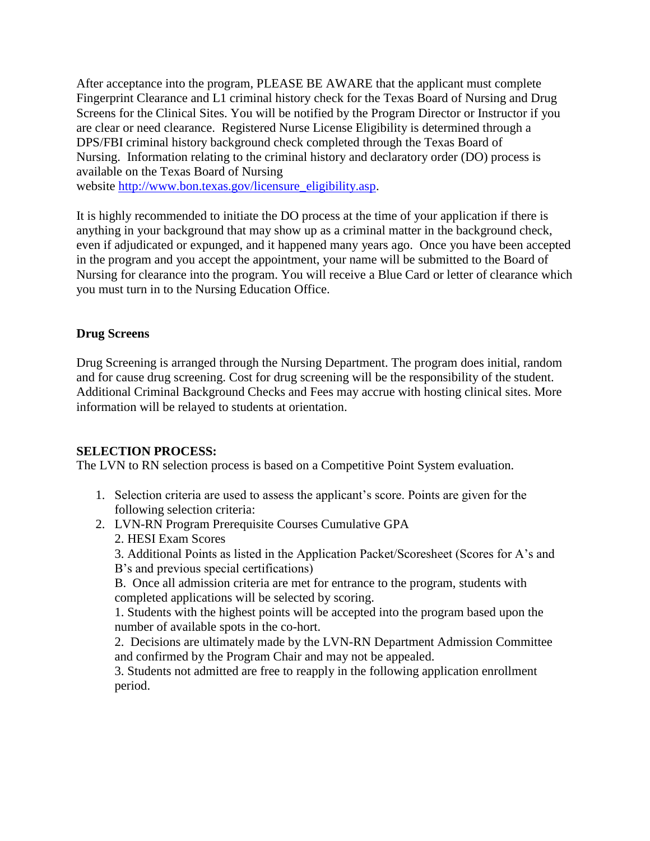After acceptance into the program, PLEASE BE AWARE that the applicant must complete Fingerprint Clearance and L1 criminal history check for the Texas Board of Nursing and Drug Screens for the Clinical Sites. You will be notified by the Program Director or Instructor if you are clear or need clearance. Registered Nurse License Eligibility is determined through a DPS/FBI criminal history background check completed through the Texas Board of Nursing. Information relating to the criminal history and declaratory order (DO) process is available on the Texas Board of Nursing

website [http://www.bon.texas.gov/licensure\\_eligibility.asp.](http://www.bon.texas.gov/licensure_eligibility.asp)

It is highly recommended to initiate the DO process at the time of your application if there is anything in your background that may show up as a criminal matter in the background check, even if adjudicated or expunged, and it happened many years ago. Once you have been accepted in the program and you accept the appointment, your name will be submitted to the Board of Nursing for clearance into the program. You will receive a Blue Card or letter of clearance which you must turn in to the Nursing Education Office.

#### **Drug Screens**

Drug Screening is arranged through the Nursing Department. The program does initial, random and for cause drug screening. Cost for drug screening will be the responsibility of the student. Additional Criminal Background Checks and Fees may accrue with hosting clinical sites. More information will be relayed to students at orientation.

#### **SELECTION PROCESS:**

The LVN to RN selection process is based on a Competitive Point System evaluation.

- 1. Selection criteria are used to assess the applicant's score. Points are given for the following selection criteria:
- 2. LVN-RN Program Prerequisite Courses Cumulative GPA 2. HESI Exam Scores

3. Additional Points as listed in the Application Packet/Scoresheet (Scores for A's and B's and previous special certifications)

B. Once all admission criteria are met for entrance to the program, students with completed applications will be selected by scoring.

1. Students with the highest points will be accepted into the program based upon the number of available spots in the co-hort.

2. Decisions are ultimately made by the LVN-RN Department Admission Committee and confirmed by the Program Chair and may not be appealed.

3. Students not admitted are free to reapply in the following application enrollment period.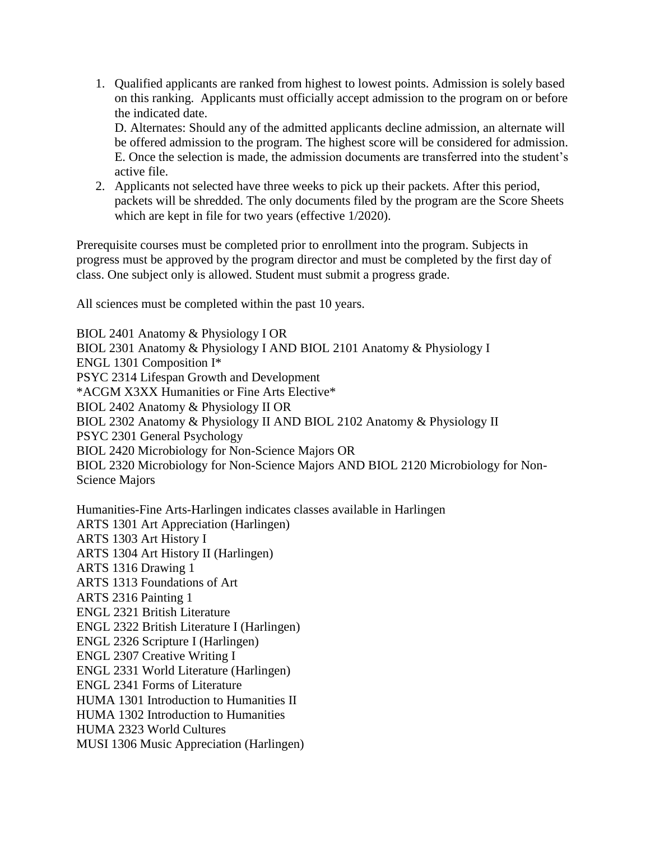1. Qualified applicants are ranked from highest to lowest points. Admission is solely based on this ranking. Applicants must officially accept admission to the program on or before the indicated date.

D. Alternates: Should any of the admitted applicants decline admission, an alternate will be offered admission to the program. The highest score will be considered for admission. E. Once the selection is made, the admission documents are transferred into the student's active file.

2. Applicants not selected have three weeks to pick up their packets. After this period, packets will be shredded. The only documents filed by the program are the Score Sheets which are kept in file for two years (effective 1/2020).

Prerequisite courses must be completed prior to enrollment into the program. Subjects in progress must be approved by the program director and must be completed by the first day of class. One subject only is allowed. Student must submit a progress grade.

All sciences must be completed within the past 10 years.

BIOL 2401 Anatomy & Physiology I OR BIOL 2301 Anatomy & Physiology I AND BIOL 2101 Anatomy & Physiology I ENGL 1301 Composition I\* PSYC 2314 Lifespan Growth and Development \*ACGM X3XX Humanities or Fine Arts Elective\* BIOL 2402 Anatomy & Physiology II OR BIOL 2302 Anatomy & Physiology II AND BIOL 2102 Anatomy & Physiology II PSYC 2301 General Psychology BIOL 2420 Microbiology for Non-Science Majors OR BIOL 2320 Microbiology for Non-Science Majors AND BIOL 2120 Microbiology for Non-Science Majors

Humanities-Fine Arts-Harlingen indicates classes available in Harlingen ARTS 1301 Art Appreciation (Harlingen) ARTS 1303 Art History I ARTS 1304 Art History II (Harlingen) ARTS 1316 Drawing 1 ARTS 1313 Foundations of Art ARTS 2316 Painting 1 ENGL 2321 British Literature ENGL 2322 British Literature I (Harlingen) ENGL 2326 Scripture I (Harlingen) ENGL 2307 Creative Writing I ENGL 2331 World Literature (Harlingen) ENGL 2341 Forms of Literature HUMA 1301 Introduction to Humanities II HUMA 1302 Introduction to Humanities HUMA 2323 World Cultures MUSI 1306 Music Appreciation (Harlingen)